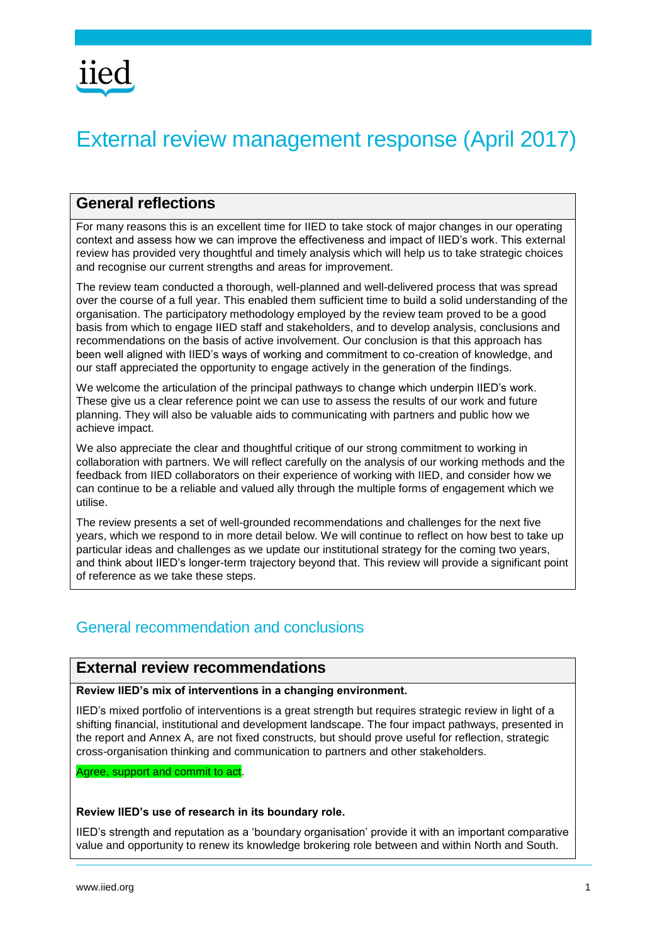# External review management response (April 2017)

# **General reflections**

For many reasons this is an excellent time for IIED to take stock of major changes in our operating context and assess how we can improve the effectiveness and impact of IIED's work. This external review has provided very thoughtful and timely analysis which will help us to take strategic choices and recognise our current strengths and areas for improvement.

The review team conducted a thorough, well-planned and well-delivered process that was spread over the course of a full year. This enabled them sufficient time to build a solid understanding of the organisation. The participatory methodology employed by the review team proved to be a good basis from which to engage IIED staff and stakeholders, and to develop analysis, conclusions and recommendations on the basis of active involvement. Our conclusion is that this approach has been well aligned with IIED's ways of working and commitment to co-creation of knowledge, and our staff appreciated the opportunity to engage actively in the generation of the findings.

We welcome the articulation of the principal pathways to change which underpin IIED's work. These give us a clear reference point we can use to assess the results of our work and future planning. They will also be valuable aids to communicating with partners and public how we achieve impact.

We also appreciate the clear and thoughtful critique of our strong commitment to working in collaboration with partners. We will reflect carefully on the analysis of our working methods and the feedback from IIED collaborators on their experience of working with IIED, and consider how we can continue to be a reliable and valued ally through the multiple forms of engagement which we utilise.

The review presents a set of well-grounded recommendations and challenges for the next five years, which we respond to in more detail below. We will continue to reflect on how best to take up particular ideas and challenges as we update our institutional strategy for the coming two years, and think about IIED's longer-term trajectory beyond that. This review will provide a significant point of reference as we take these steps.

# General recommendation and conclusions

# **External review recommendations**

#### **Review IIED's mix of interventions in a changing environment.**

IIED's mixed portfolio of interventions is a great strength but requires strategic review in light of a shifting financial, institutional and development landscape. The four impact pathways, presented in the report and Annex A, are not fixed constructs, but should prove useful for reflection, strategic cross-organisation thinking and communication to partners and other stakeholders.

Agree, support and commit to act.

#### **Review IIED's use of research in its boundary role.**

IIED's strength and reputation as a 'boundary organisation' provide it with an important comparative value and opportunity to renew its knowledge brokering role between and within North and South.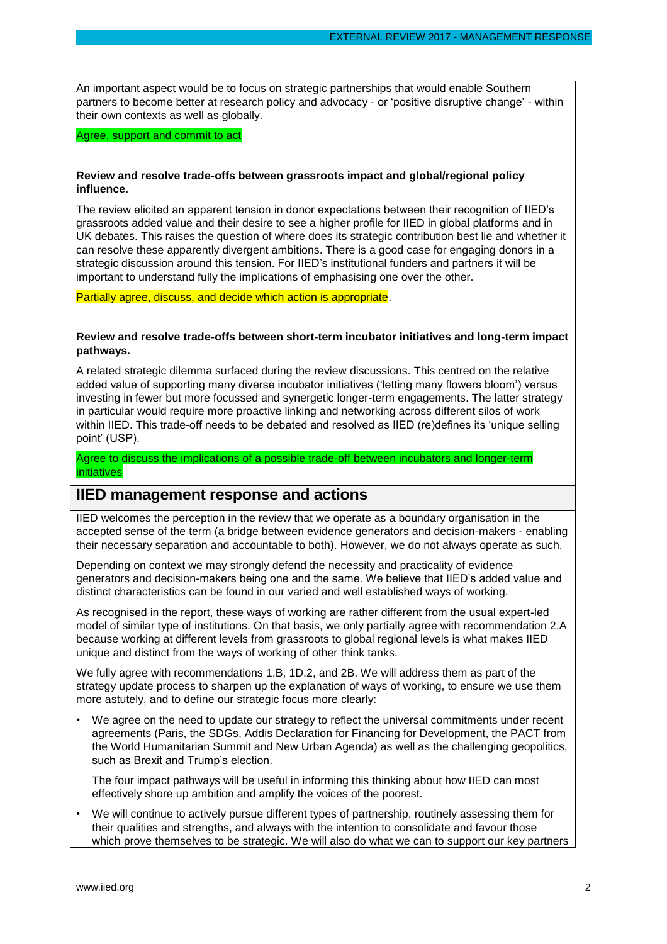An important aspect would be to focus on strategic partnerships that would enable Southern partners to become better at research policy and advocacy - or 'positive disruptive change' - within their own contexts as well as globally.

Agree, support and commit to act

#### **Review and resolve trade-offs between grassroots impact and global/regional policy influence.**

The review elicited an apparent tension in donor expectations between their recognition of IIED's grassroots added value and their desire to see a higher profile for IIED in global platforms and in UK debates. This raises the question of where does its strategic contribution best lie and whether it can resolve these apparently divergent ambitions. There is a good case for engaging donors in a strategic discussion around this tension. For IIED's institutional funders and partners it will be important to understand fully the implications of emphasising one over the other.

Partially agree, discuss, and decide which action is appropriate.

#### **Review and resolve trade-offs between short-term incubator initiatives and long-term impact pathways.**

A related strategic dilemma surfaced during the review discussions. This centred on the relative added value of supporting many diverse incubator initiatives ('letting many flowers bloom') versus investing in fewer but more focussed and synergetic longer-term engagements. The latter strategy in particular would require more proactive linking and networking across different silos of work within IIED. This trade-off needs to be debated and resolved as IIED (re)defines its 'unique selling point' (USP).

Agree to discuss the implications of a possible trade-off between incubators and longer-term initiatives

# **IIED management response and actions**

IIED welcomes the perception in the review that we operate as a boundary organisation in the accepted sense of the term (a bridge between evidence generators and decision-makers - enabling their necessary separation and accountable to both). However, we do not always operate as such.

Depending on context we may strongly defend the necessity and practicality of evidence generators and decision-makers being one and the same. We believe that IIED's added value and distinct characteristics can be found in our varied and well established ways of working.

As recognised in the report, these ways of working are rather different from the usual expert-led model of similar type of institutions. On that basis, we only partially agree with recommendation 2.A because working at different levels from grassroots to global regional levels is what makes IIED unique and distinct from the ways of working of other think tanks.

We fully agree with recommendations 1.B, 1D.2, and 2B. We will address them as part of the strategy update process to sharpen up the explanation of ways of working, to ensure we use them more astutely, and to define our strategic focus more clearly:

We agree on the need to update our strategy to reflect the universal commitments under recent agreements (Paris, the SDGs, Addis Declaration for Financing for Development, the PACT from the World Humanitarian Summit and New Urban Agenda) as well as the challenging geopolitics, such as Brexit and Trump's election.

The four impact pathways will be useful in informing this thinking about how IIED can most effectively shore up ambition and amplify the voices of the poorest.

• We will continue to actively pursue different types of partnership, routinely assessing them for their qualities and strengths, and always with the intention to consolidate and favour those which prove themselves to be strategic. We will also do what we can to support our key partners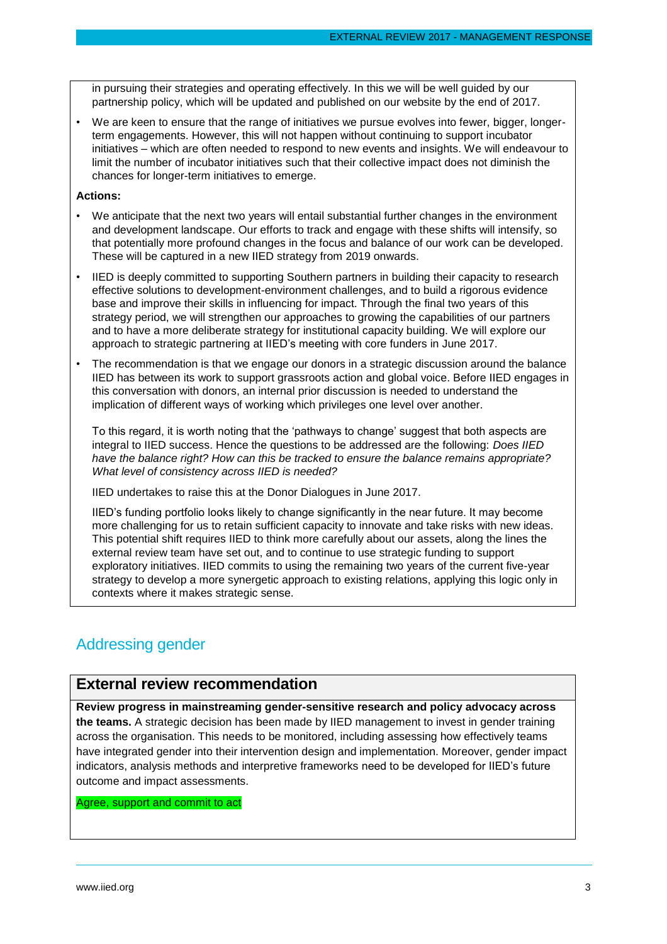in pursuing their strategies and operating effectively. In this we will be well guided by our partnership policy, which will be updated and published on our website by the end of 2017.

• We are keen to ensure that the range of initiatives we pursue evolves into fewer, bigger, longerterm engagements. However, this will not happen without continuing to support incubator initiatives – which are often needed to respond to new events and insights. We will endeavour to limit the number of incubator initiatives such that their collective impact does not diminish the chances for longer-term initiatives to emerge.

#### **Actions:**

- We anticipate that the next two years will entail substantial further changes in the environment and development landscape. Our efforts to track and engage with these shifts will intensify, so that potentially more profound changes in the focus and balance of our work can be developed. These will be captured in a new IIED strategy from 2019 onwards.
- IIED is deeply committed to supporting Southern partners in building their capacity to research effective solutions to development-environment challenges, and to build a rigorous evidence base and improve their skills in influencing for impact. Through the final two years of this strategy period, we will strengthen our approaches to growing the capabilities of our partners and to have a more deliberate strategy for institutional capacity building. We will explore our approach to strategic partnering at IIED's meeting with core funders in June 2017.
- The recommendation is that we engage our donors in a strategic discussion around the balance IIED has between its work to support grassroots action and global voice. Before IIED engages in this conversation with donors, an internal prior discussion is needed to understand the implication of different ways of working which privileges one level over another.

To this regard, it is worth noting that the 'pathways to change' suggest that both aspects are integral to IIED success. Hence the questions to be addressed are the following: *Does IIED have the balance right? How can this be tracked to ensure the balance remains appropriate? What level of consistency across IIED is needed?*

IIED undertakes to raise this at the Donor Dialogues in June 2017.

IIED's funding portfolio looks likely to change significantly in the near future. It may become more challenging for us to retain sufficient capacity to innovate and take risks with new ideas. This potential shift requires IIED to think more carefully about our assets, along the lines the external review team have set out, and to continue to use strategic funding to support exploratory initiatives. IIED commits to using the remaining two years of the current five-year strategy to develop a more synergetic approach to existing relations, applying this logic only in contexts where it makes strategic sense.

# Addressing gender

# **External review recommendation**

**Review progress in mainstreaming gender-sensitive research and policy advocacy across the teams.** A strategic decision has been made by IIED management to invest in gender training across the organisation. This needs to be monitored, including assessing how effectively teams have integrated gender into their intervention design and implementation. Moreover, gender impact indicators, analysis methods and interpretive frameworks need to be developed for IIED's future outcome and impact assessments.

Agree, support and commit to act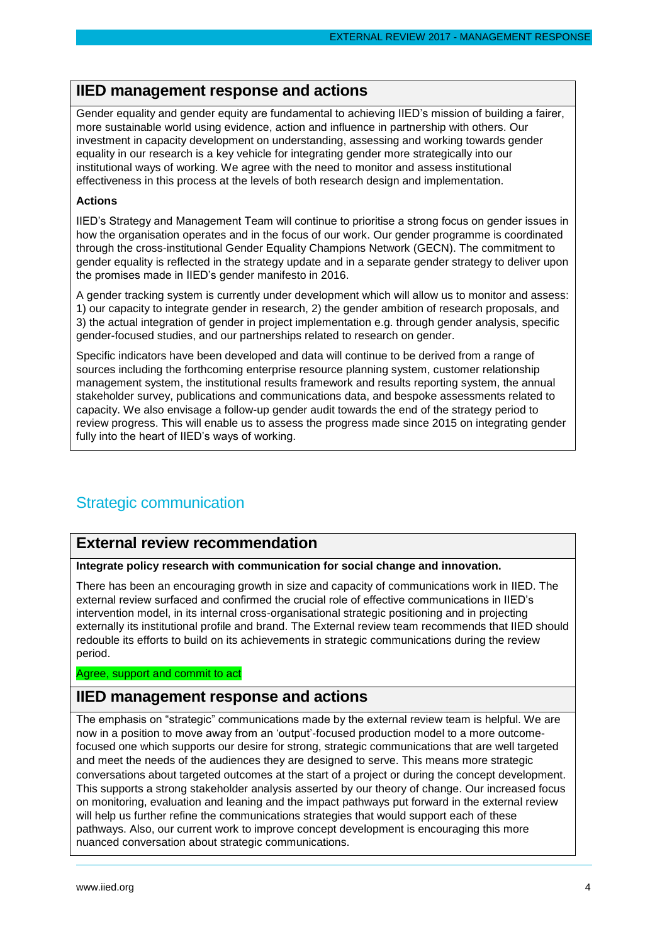### **IIED management response and actions**

Gender equality and gender equity are fundamental to achieving IIED's mission of building a fairer, more sustainable world using evidence, action and influence in partnership with others. Our investment in capacity development on understanding, assessing and working towards gender equality in our research is a key vehicle for integrating gender more strategically into our institutional ways of working. We agree with the need to monitor and assess institutional effectiveness in this process at the levels of both research design and implementation.

#### **Actions**

IIED's Strategy and Management Team will continue to prioritise a strong focus on gender issues in how the organisation operates and in the focus of our work. Our gender programme is coordinated through the cross-institutional Gender Equality Champions Network (GECN). The commitment to gender equality is reflected in the strategy update and in a separate gender strategy to deliver upon the promises made in IIED's gender manifesto in 2016.

A gender tracking system is currently under development which will allow us to monitor and assess: 1) our capacity to integrate gender in research, 2) the gender ambition of research proposals, and 3) the actual integration of gender in project implementation e.g. through gender analysis, specific gender-focused studies, and our partnerships related to research on gender.

Specific indicators have been developed and data will continue to be derived from a range of sources including the forthcoming enterprise resource planning system, customer relationship management system, the institutional results framework and results reporting system, the annual stakeholder survey, publications and communications data, and bespoke assessments related to capacity. We also envisage a follow-up gender audit towards the end of the strategy period to review progress. This will enable us to assess the progress made since 2015 on integrating gender fully into the heart of IIED's ways of working.

# Strategic communication

# **External review recommendation**

#### **Integrate policy research with communication for social change and innovation.**

There has been an encouraging growth in size and capacity of communications work in IIED. The external review surfaced and confirmed the crucial role of effective communications in IIED's intervention model, in its internal cross-organisational strategic positioning and in projecting externally its institutional profile and brand. The External review team recommends that IIED should redouble its efforts to build on its achievements in strategic communications during the review period.

#### Agree, support and commit to act

### **IIED management response and actions**

The emphasis on "strategic" communications made by the external review team is helpful. We are now in a position to move away from an 'output'-focused production model to a more outcomefocused one which supports our desire for strong, strategic communications that are well targeted and meet the needs of the audiences they are designed to serve. This means more strategic conversations about targeted outcomes at the start of a project or during the concept development. This supports a strong stakeholder analysis asserted by our theory of change. Our increased focus on monitoring, evaluation and leaning and the impact pathways put forward in the external review will help us further refine the communications strategies that would support each of these pathways. Also, our current work to improve concept development is encouraging this more nuanced conversation about strategic communications.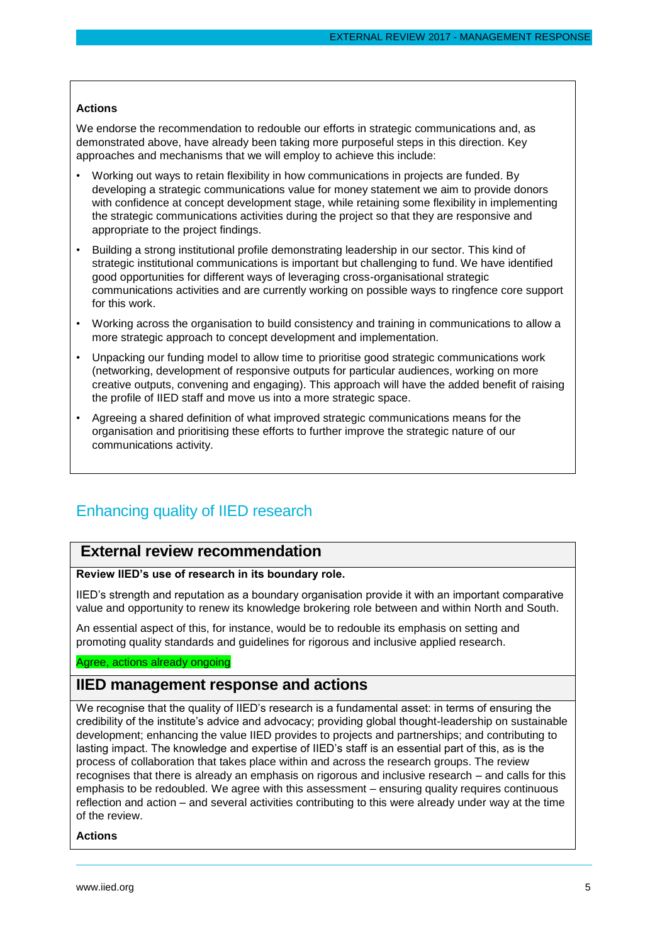#### **Actions**

We endorse the recommendation to redouble our efforts in strategic communications and, as demonstrated above, have already been taking more purposeful steps in this direction. Key approaches and mechanisms that we will employ to achieve this include:

- Working out ways to retain flexibility in how communications in projects are funded. By developing a strategic communications value for money statement we aim to provide donors with confidence at concept development stage, while retaining some flexibility in implementing the strategic communications activities during the project so that they are responsive and appropriate to the project findings.
- Building a strong institutional profile demonstrating leadership in our sector. This kind of strategic institutional communications is important but challenging to fund. We have identified good opportunities for different ways of leveraging cross-organisational strategic communications activities and are currently working on possible ways to ringfence core support for this work.
- Working across the organisation to build consistency and training in communications to allow a more strategic approach to concept development and implementation.
- Unpacking our funding model to allow time to prioritise good strategic communications work (networking, development of responsive outputs for particular audiences, working on more creative outputs, convening and engaging). This approach will have the added benefit of raising the profile of IIED staff and move us into a more strategic space.
- Agreeing a shared definition of what improved strategic communications means for the organisation and prioritising these efforts to further improve the strategic nature of our communications activity.

# Enhancing quality of IIED research

# **External review recommendation**

#### **Review IIED's use of research in its boundary role.**

IIED's strength and reputation as a boundary organisation provide it with an important comparative value and opportunity to renew its knowledge brokering role between and within North and South.

An essential aspect of this, for instance, would be to redouble its emphasis on setting and promoting quality standards and guidelines for rigorous and inclusive applied research.

#### Agree, actions already ongoing

# **IIED management response and actions**

We recognise that the quality of IIED's research is a fundamental asset: in terms of ensuring the credibility of the institute's advice and advocacy; providing global thought-leadership on sustainable development; enhancing the value IIED provides to projects and partnerships; and contributing to lasting impact. The knowledge and expertise of IIED's staff is an essential part of this, as is the process of collaboration that takes place within and across the research groups. The review recognises that there is already an emphasis on rigorous and inclusive research – and calls for this emphasis to be redoubled. We agree with this assessment – ensuring quality requires continuous reflection and action – and several activities contributing to this were already under way at the time of the review.

**Actions**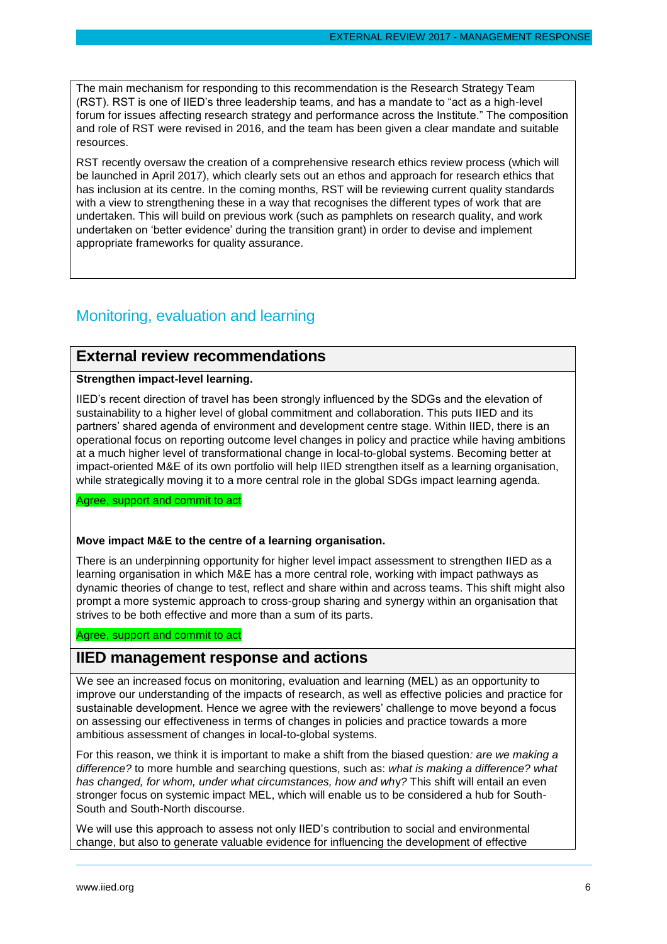The main mechanism for responding to this recommendation is the Research Strategy Team (RST). RST is one of IIED's three leadership teams, and has a mandate to "act as a high-level forum for issues affecting research strategy and performance across the Institute." The composition and role of RST were revised in 2016, and the team has been given a clear mandate and suitable resources.

RST recently oversaw the creation of a comprehensive research ethics review process (which will be launched in April 2017), which clearly sets out an ethos and approach for research ethics that has inclusion at its centre. In the coming months, RST will be reviewing current quality standards with a view to strengthening these in a way that recognises the different types of work that are undertaken. This will build on previous work (such as pamphlets on research quality, and work undertaken on 'better evidence' during the transition grant) in order to devise and implement appropriate frameworks for quality assurance.

# Monitoring, evaluation and learning

### **External review recommendations**

#### **Strengthen impact-level learning.**

IIED's recent direction of travel has been strongly influenced by the SDGs and the elevation of sustainability to a higher level of global commitment and collaboration. This puts IIED and its partners' shared agenda of environment and development centre stage. Within IIED, there is an operational focus on reporting outcome level changes in policy and practice while having ambitions at a much higher level of transformational change in local-to-global systems. Becoming better at impact-oriented M&E of its own portfolio will help IIED strengthen itself as a learning organisation, while strategically moving it to a more central role in the global SDGs impact learning agenda.

Agree, support and commit to act

#### **Move impact M&E to the centre of a learning organisation.**

There is an underpinning opportunity for higher level impact assessment to strengthen IIED as a learning organisation in which M&E has a more central role, working with impact pathways as dynamic theories of change to test, reflect and share within and across teams. This shift might also prompt a more systemic approach to cross-group sharing and synergy within an organisation that strives to be both effective and more than a sum of its parts.

Agree, support and commit to act

# **IIED management response and actions**

We see an increased focus on monitoring, evaluation and learning (MEL) as an opportunity to improve our understanding of the impacts of research, as well as effective policies and practice for sustainable development. Hence we agree with the reviewers' challenge to move beyond a focus on assessing our effectiveness in terms of changes in policies and practice towards a more ambitious assessment of changes in local-to-global systems.

For this reason, we think it is important to make a shift from the biased question*: are we making a difference?* to more humble and searching questions, such as: *what is making a difference? what has changed, for whom, under what circumstances, how and wh*y*?* This shift will entail an even stronger focus on systemic impact MEL, which will enable us to be considered a hub for South-South and South-North discourse.

We will use this approach to assess not only IIED's contribution to social and environmental change, but also to generate valuable evidence for influencing the development of effective